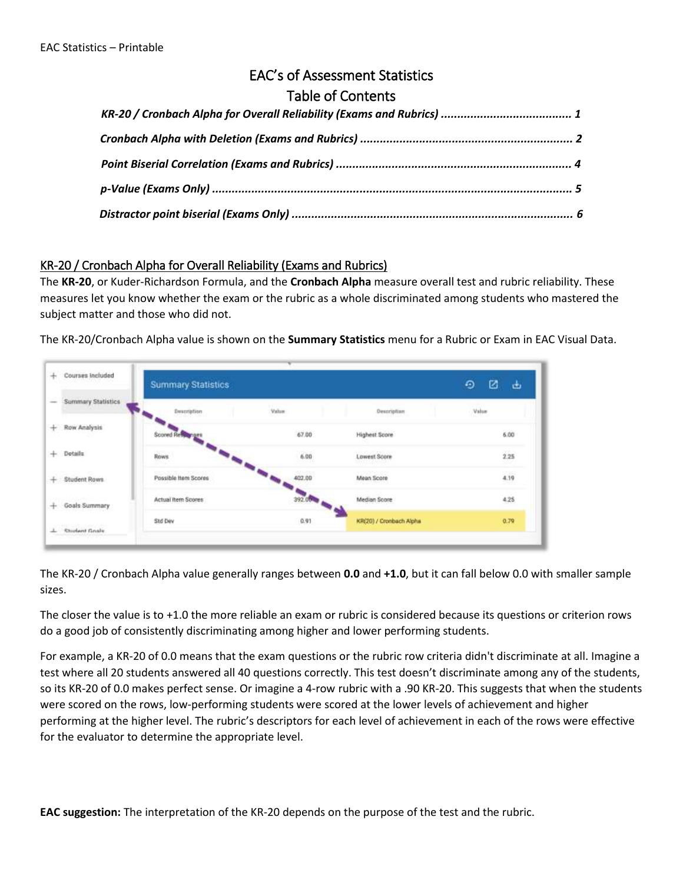# EAC's of Assessment Statistics

## Table of Contents

### KR‐20 / Cronbach Alpha for Overall Reliability (Exams and Rubrics)

The **KR‐20**, or Kuder‐Richardson Formula, and the **Cronbach Alpha** measure overall test and rubric reliability. These measures let you know whether the exam or the rubric as a whole discriminated among students who mastered the subject matter and those who did not.

The KR‐20/Cronbach Alpha value is shown on the **Summary Statistics** menu for a Rubric or Exam in EAC Visual Data.

| Courses Included     | <b>Summary Statistics</b> |        |                                          | ø<br>Đ<br>甴 |
|----------------------|---------------------------|--------|------------------------------------------|-------------|
| Summary Statistics   | Description               | Value  | Despription                              | Value       |
| Row Analysis         | Scored Re                 | 67.00  | Highest Score                            | 6.00        |
| Details              | Rows                      | 6.00   | <b>Lowest Score</b><br>1991 (C. 1994) (U | 225<br>n    |
| Student Rows         | Possible Item Scores      | 402.00 | Mean Score                               | 4.19        |
| Goals Summary        | Actual Item Scores        | 392.00 | Median Sopre                             | 4.25        |
| <b>Student Goals</b> | Std Day                   | 0.91   | KR(20) / Cronbach Alpha                  | 0.79        |

The KR‐20 / Cronbach Alpha value generally ranges between **0.0** and **+1.0**, but it can fall below 0.0 with smaller sample sizes.

The closer the value is to +1.0 the more reliable an exam or rubric is considered because its questions or criterion rows do a good job of consistently discriminating among higher and lower performing students.

For example, a KR‐20 of 0.0 means that the exam questions or the rubric row criteria didn't discriminate at all. Imagine a test where all 20 students answered all 40 questions correctly. This test doesn't discriminate among any of the students, so its KR‐20 of 0.0 makes perfect sense. Or imagine a 4‐row rubric with a .90 KR‐20. This suggests that when the students were scored on the rows, low-performing students were scored at the lower levels of achievement and higher performing at the higher level. The rubric's descriptors for each level of achievement in each of the rows were effective for the evaluator to determine the appropriate level.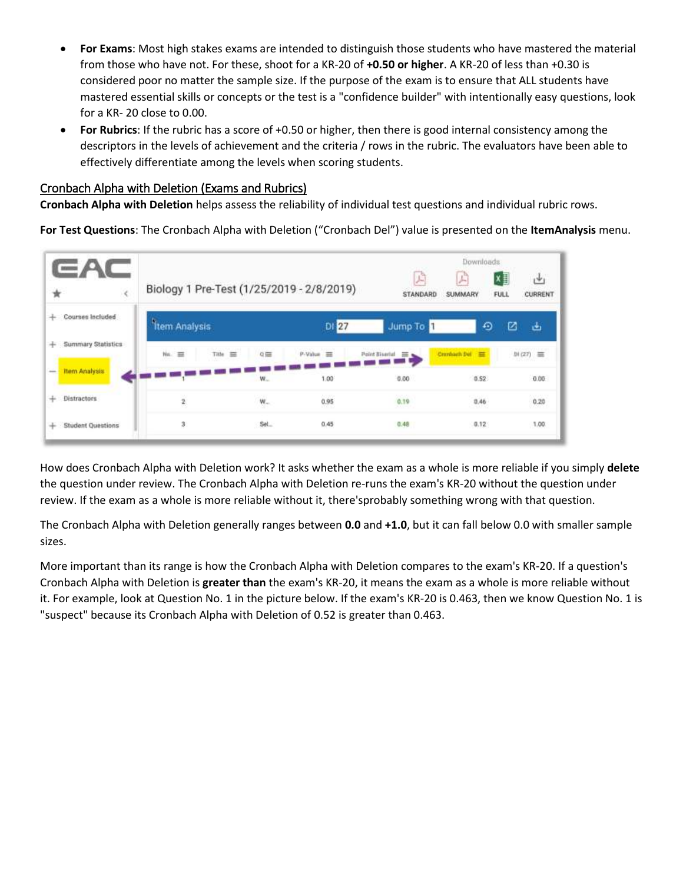- **For Exams**: Most high stakes exams are intended to distinguish those students who have mastered the material from those who have not. For these, shoot for a KR‐20 of **+0.50 or higher**. A KR‐20 of less than +0.30 is considered poor no matter the sample size. If the purpose of the exam is to ensure that ALL students have mastered essential skills or concepts or the test is a "confidence builder" with intentionally easy questions, look for a KR‐ 20 close to 0.00.
- **For Rubrics**: If the rubric has a score of +0.50 or higher, then there is good internal consistency among the descriptors in the levels of achievement and the criteria / rows in the rubric. The evaluators have been able to effectively differentiate among the levels when scoring students.

#### Cronbach Alpha with Deletion (Exams and Rubrics)

**Cronbach Alpha with Deletion** helps assess the reliability of individual test questions and individual rubric rows.

**For Test Questions**: The Cronbach Alpha with Deletion ("Cronbach Del") value is presented on the **ItemAnalysis** menu.



How does Cronbach Alpha with Deletion work? It asks whether the exam as a whole is more reliable if you simply **delete**  the question under review. The Cronbach Alpha with Deletion re‐runs the exam's KR‐20 without the question under review. If the exam as a whole is more reliable without it, there'sprobably something wrong with that question.

The Cronbach Alpha with Deletion generally ranges between **0.0** and **+1.0**, but it can fall below 0.0 with smaller sample sizes.

More important than its range is how the Cronbach Alpha with Deletion compares to the exam's KR‐20. If a question's Cronbach Alpha with Deletion is **greater than** the exam's KR‐20, it means the exam as a whole is more reliable without it. For example, look at Question No. 1 in the picture below. If the exam's KR‐20 is 0.463, then we know Question No. 1 is "suspect" because its Cronbach Alpha with Deletion of 0.52 is greater than 0.463.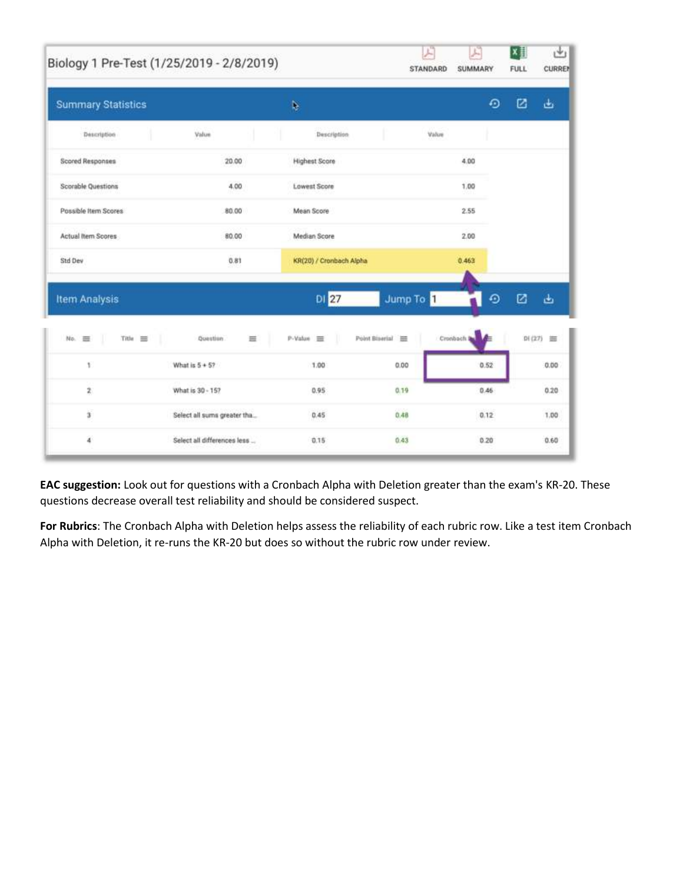|                           | Biology 1 Pre-Test (1/25/2019 - 2/8/2019) |                         | F<br>STANDARD      | J.<br>SUMMARY    | ×目<br>西<br><b>CURREN</b><br>FULL |
|---------------------------|-------------------------------------------|-------------------------|--------------------|------------------|----------------------------------|
| <b>Summary Statistics</b> |                                           | Þ.                      |                    | $\odot$          | ☑<br>函                           |
| Description               | Value                                     | Description             | Value              |                  |                                  |
| Scored Responses          | 20.00                                     | <b>Highest Score</b>    |                    | 4.00             |                                  |
| Scorable Questions        | 4.00                                      | Lowest Score            |                    | 1.00             |                                  |
| Possible Item Scores      | 80.00                                     | Mean Score              |                    | 2.55             |                                  |
| Actual Item Scores        | 80.00                                     | Median Score            |                    | 2.00             |                                  |
| Std Dev                   | 0.81                                      | KR(20) / Cronbach Alpha |                    | 0.463            |                                  |
| <b>Item Analysis</b>      |                                           | DI 27                   | Jump To 1          | ⊕                | ☑<br>函                           |
| No.<br>一<br>Title =       | Question.<br>畺                            | P-Value =               | Point Biserial III | Cronbach le<br>м | 01 (27)<br>崋                     |
| 1                         | What is $5 + 57$                          | 1.00                    | 0.00               | 0.52             | 0.00                             |
| $\bar{2}$                 | What is 30 - 15?                          | 0.95                    | 0.19               | 0.46             | 0.20                             |
| ä                         | Select all sums greater tha               | 0.45                    | 0.48               | 0.12             | 1.00                             |
| 4                         | Select all differences less               | 0.15                    | 0.43               | 0.20             | 0.60                             |

**EAC suggestion:** Look out for questions with a Cronbach Alpha with Deletion greater than the exam's KR‐20. These questions decrease overall test reliability and should be considered suspect.

**For Rubrics**: The Cronbach Alpha with Deletion helps assess the reliability of each rubric row. Like a test item Cronbach Alpha with Deletion, it re‐runs the KR‐20 but does so without the rubric row under review.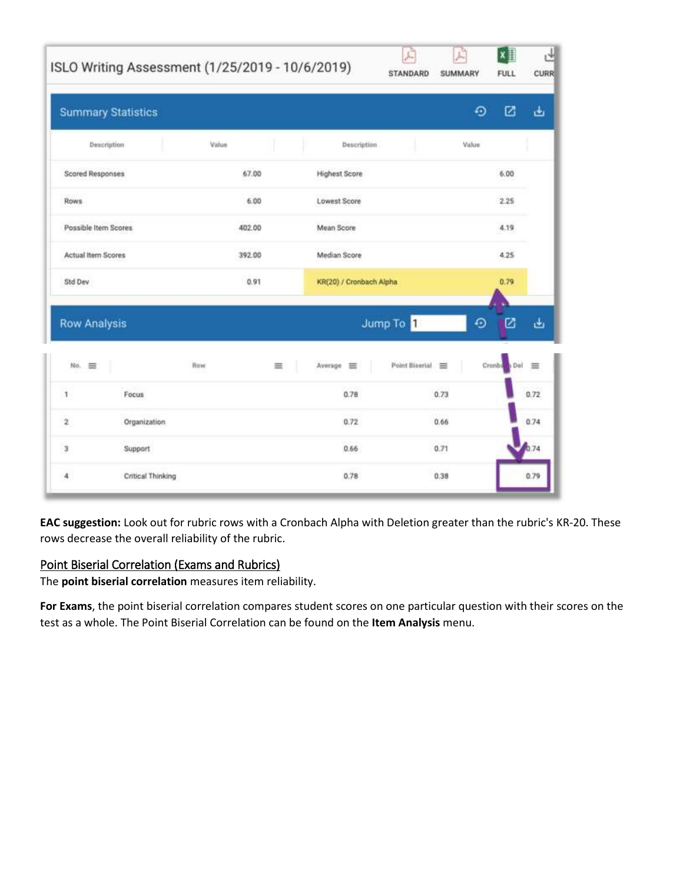|                         |                           | ISLO Writing Assessment (1/25/2019 - 10/6/2019) |                         | F<br>STANDARD  | F,<br>SUMMARY | ×∃<br><b>FULL</b> | <b>CURR</b> |
|-------------------------|---------------------------|-------------------------------------------------|-------------------------|----------------|---------------|-------------------|-------------|
|                         | <b>Summary Statistics</b> |                                                 |                         |                | ⊙             | ø                 | ىغ          |
|                         | Description               | Value                                           | Description             |                | Value         |                   |             |
| <b>Scored Responses</b> |                           | 67.00                                           | <b>Highest Score</b>    |                |               | 6:00              |             |
| Rows                    |                           | 6.00                                            | Lowest Score            |                |               | 2.25              |             |
| Possible Item Scores    |                           | 402.00                                          | Mean Score              |                |               | 4.19              |             |
| Actual Item Scores      |                           | 392.00                                          | Median Score            |                |               | 4.25              |             |
| Std Dev                 |                           | 0.91                                            | KR(20) / Cronbach Alpha |                |               | 0.79              |             |
| <b>Row Analysis</b>     |                           |                                                 |                         | Jump To 1      | ⊙             | Ø                 | ىغ          |
| No.<br>亜                |                           | <b>Row</b><br>≡                                 | Average <b>EE</b>       | Point Biserial | Cronbi        |                   | 三           |
| 1                       | Focus                     |                                                 | 0.78                    |                | 0.73          |                   | 0.72        |
| $\boldsymbol{2}$        | Organization              |                                                 | 0.72                    |                | 0.66          |                   | 0.74        |
| $\bf 3$                 | Support                   |                                                 | 0.66                    |                | 0.71          |                   | 0.74        |
| $\sqrt{4}$              | Critical Thinking         |                                                 | 0.78                    |                | 0.38          |                   | 0.79        |

**EAC suggestion:** Look out for rubric rows with a Cronbach Alpha with Deletion greater than the rubric's KR‐20. These rows decrease the overall reliability of the rubric.

## Point Biserial Correlation (Exams and Rubrics)

The **point biserial correlation** measures item reliability.

**For Exams**, the point biserial correlation compares student scores on one particular question with their scores on the test as a whole. The Point Biserial Correlation can be found on the **Item Analysis** menu.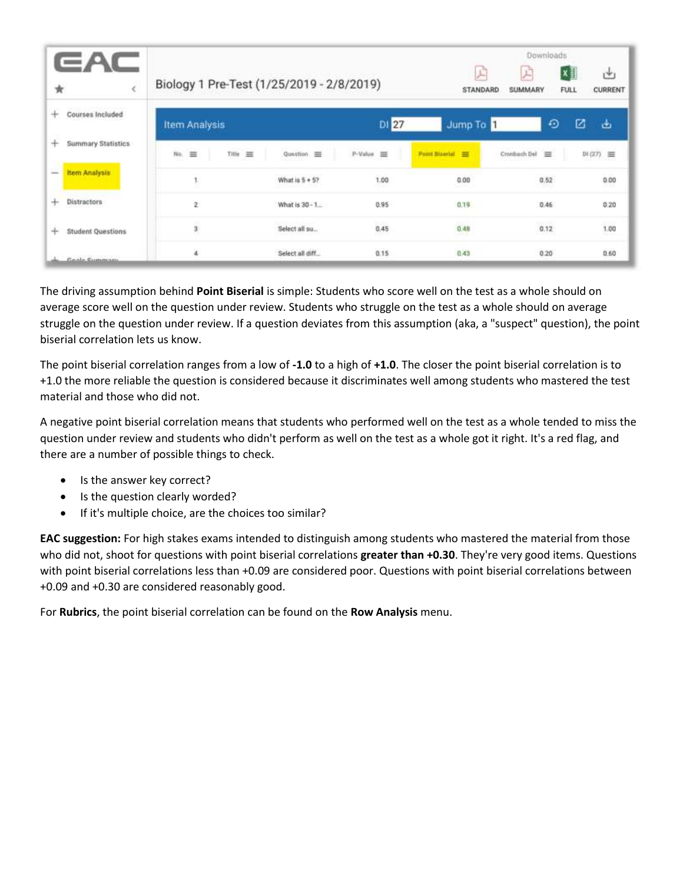|                               |                                           |                      |                |                         | Downloads                |                                            |
|-------------------------------|-------------------------------------------|----------------------|----------------|-------------------------|--------------------------|--------------------------------------------|
| ★                             | Biology 1 Pre-Test (1/25/2019 - 2/8/2019) |                      |                | 卢<br>STANDARD           | 戸<br>SUMMARY             | X ≣<br>رس<br><b>CURRENT</b><br><b>FULL</b> |
| Courses Included<br>÷         | <b>Item Analysis</b>                      |                      | DI 27          | Jump To 1               | ⊙                        | ø<br>ىق                                    |
| Summary Statistics<br>÷       | No.<br>亜<br>三<br>Title:                   | Question<br>$\equiv$ | P-Value =      | <b>Paint Boards</b> III | Cronbach Del<br>$\equiv$ | D1(27) 三                                   |
| Item Analysis<br>$=$          |                                           | What is $5 + 57$     | 1.00<br>93 J.W | 0.00<br><b>ALCOHOL:</b> | 0.52                     | 0.00                                       |
| Distractors<br>÷              | $\mathbf{2}$                              | What is 30 - 1       | 0.95           | 0.19                    | 0.46                     | 0.20                                       |
| ÷<br><b>Student Questions</b> | 3                                         | Select all su        | 0.45           | 0.48                    | 0.12                     | 1.00                                       |
| Casle Cummans                 | ä                                         | Select all diff      | 0.15           | 0.43                    | 0.20                     | 0.60                                       |

The driving assumption behind **Point Biserial** is simple: Students who score well on the test as a whole should on average score well on the question under review. Students who struggle on the test as a whole should on average struggle on the question under review. If a question deviates from this assumption (aka, a "suspect" question), the point biserial correlation lets us know.

The point biserial correlation ranges from a low of **‐1.0** to a high of **+1.0**. The closer the point biserial correlation is to +1.0 the more reliable the question is considered because it discriminates well among students who mastered the test material and those who did not.

A negative point biserial correlation means that students who performed well on the test as a whole tended to miss the question under review and students who didn't perform as well on the test as a whole got it right. It's a red flag, and there are a number of possible things to check.

- Is the answer key correct?
- Is the question clearly worded?
- If it's multiple choice, are the choices too similar?

**EAC suggestion:** For high stakes exams intended to distinguish among students who mastered the material from those who did not, shoot for questions with point biserial correlations **greater than +0.30**. They're very good items. Questions with point biserial correlations less than +0.09 are considered poor. Questions with point biserial correlations between +0.09 and +0.30 are considered reasonably good.

For **Rubrics**, the point biserial correlation can be found on the **Row Analysis** menu.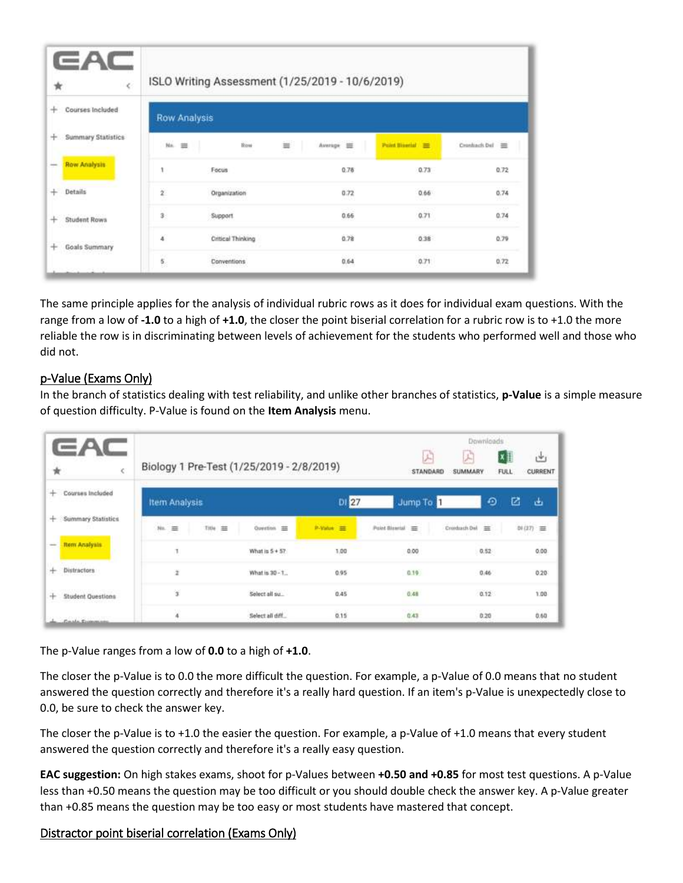| $\epsilon$<br>★                             |                     |                   | ISLO Writing Assessment (1/25/2019 - 10/6/2019) |                |                         |
|---------------------------------------------|---------------------|-------------------|-------------------------------------------------|----------------|-------------------------|
| Courses Included<br>÷                       | <b>Row Analysis</b> |                   |                                                 |                |                         |
| <b>Summary Statistics</b><br>÷              | No.<br>$\equiv$     | <b>Row</b>        | $\equiv$<br>Average =                           | Point Bloody = | Cronback Dal III        |
| <b>Row Analysis</b><br>-                    | 1                   | Focus             | 0.78                                            | 0.73           | 0.72                    |
| $\ddot{}$<br>Details                        | ž                   | Organization      | 0.72<br>96 M.H                                  | 0.66<br>NGW    | 0.74<br>mo              |
| <b>Student Rows</b><br>÷<br>70. HA HATA CAN | \$                  | Support           | 0.66                                            | 0.71           | $\sim 2\,\mu$ K<br>0.74 |
| <b>Goals Summary</b><br>÷                   | ä                   | Critical Thinking | 0.78                                            | 0.38           | 0.79                    |
|                                             | 11<br>髡             | Conventions       | 0.64                                            | 0.71           | 0.72                    |

The same principle applies for the analysis of individual rubric rows as it does for individual exam questions. With the range from a low of **‐1.0** to a high of **+1.0**, the closer the point biserial correlation for a rubric row is to +1.0 the more reliable the row is in discriminating between levels of achievement for the students who performed well and those who did not.

## p‐Value (Exams Only)

In the branch of statistics dealing with test reliability, and unlike other branches of statistics, **p‐Value** is a simple measure of question difficulty. P‐Value is found on the **Item Analysis** menu.

|                                                  |                                           |                      |           |                 | Downloads       |                               |
|--------------------------------------------------|-------------------------------------------|----------------------|-----------|-----------------|-----------------|-------------------------------|
|                                                  | Biology 1 Pre-Test (1/25/2019 - 2/8/2019) |                      |           | 户<br>STANDARD   | A<br>SUMMARY    | IX≣<br>رغن<br>CURRENT<br>FULL |
| Courses Included<br>÷                            | <b>Item Analysis</b>                      |                      | DI 27     | Jump To         | ⊕               | 囜<br>画                        |
| <b>Summary Statistics</b><br>$+$ :               | $y_{11}$ $\equiv$<br>Title<br>$\equiv$    | Question =<br>2000 B | P-Value = | Point Blowial = | Crosduach Dal = | 하(27) 三                       |
| <b>Item Analysis</b><br>$\overline{\phantom{a}}$ | ٦                                         | What is $5 + 57$     | 1.00      | 0.00            | 0.52            | 0.00                          |
| Distractors<br>$+$                               | ž                                         | What is 30 - 1       | 0.95      | 0.19            | 0.46            | 0.20                          |
| $+$<br><b>Student Questions</b>                  | ¥                                         | Select all su        | 0.45      | 0.48            | 0.12            | 1.00                          |
| Coale Common                                     |                                           | Select all diff      | 0.15      | 0.43            | 0.20            | 0.60                          |

The p‐Value ranges from a low of **0.0** to a high of **+1.0**.

The closer the p-Value is to 0.0 the more difficult the question. For example, a p-Value of 0.0 means that no student answered the question correctly and therefore it's a really hard question. If an item's p-Value is unexpectedly close to 0.0, be sure to check the answer key.

The closer the p-Value is to +1.0 the easier the question. For example, a p-Value of +1.0 means that every student answered the question correctly and therefore it's a really easy question.

**EAC suggestion:** On high stakes exams, shoot for p‐Values between **+0.50 and +0.85** for most test questions. A p‐Value less than +0.50 means the question may be too difficult or you should double check the answer key. A p‐Value greater than +0.85 means the question may be too easy or most students have mastered that concept.

#### Distractor point biserial correlation (Exams Only)